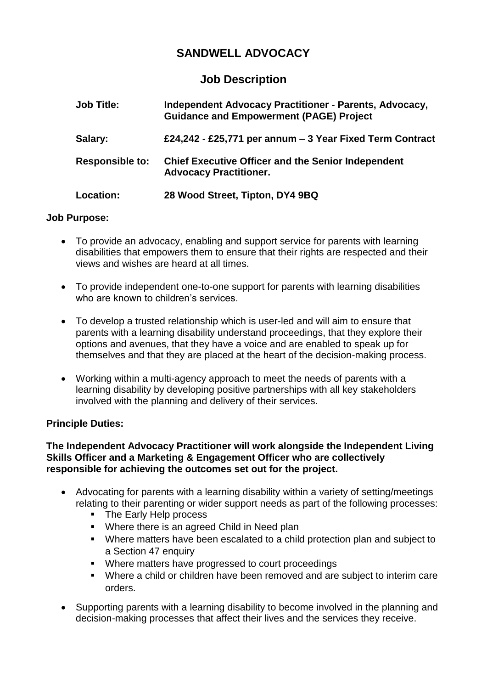# **SANDWELL ADVOCACY**

## **Job Description**

| <b>Job Title:</b>      | <b>Independent Advocacy Practitioner - Parents, Advocacy,</b><br><b>Guidance and Empowerment (PAGE) Project</b> |
|------------------------|-----------------------------------------------------------------------------------------------------------------|
| Salary:                | £24,242 - £25,771 per annum – 3 Year Fixed Term Contract                                                        |
| <b>Responsible to:</b> | <b>Chief Executive Officer and the Senior Independent</b><br><b>Advocacy Practitioner.</b>                      |
| Location:              | 28 Wood Street, Tipton, DY4 9BQ                                                                                 |

### **Job Purpose:**

- To provide an advocacy, enabling and support service for parents with learning disabilities that empowers them to ensure that their rights are respected and their views and wishes are heard at all times.
- To provide independent one-to-one support for parents with learning disabilities who are known to children's services.
- To develop a trusted relationship which is user-led and will aim to ensure that parents with a learning disability understand proceedings, that they explore their options and avenues, that they have a voice and are enabled to speak up for themselves and that they are placed at the heart of the decision-making process.
- Working within a multi-agency approach to meet the needs of parents with a learning disability by developing positive partnerships with all key stakeholders involved with the planning and delivery of their services.

### **Principle Duties:**

### **The Independent Advocacy Practitioner will work alongside the Independent Living Skills Officer and a Marketing & Engagement Officer who are collectively responsible for achieving the outcomes set out for the project.**

- Advocating for parents with a learning disability within a variety of setting/meetings relating to their parenting or wider support needs as part of the following processes:
	- The Early Help process
	- Where there is an agreed Child in Need plan
	- Where matters have been escalated to a child protection plan and subject to a Section 47 enquiry
	- **Where matters have progressed to court proceedings**
	- Where a child or children have been removed and are subject to interim care orders.
- Supporting parents with a learning disability to become involved in the planning and decision-making processes that affect their lives and the services they receive.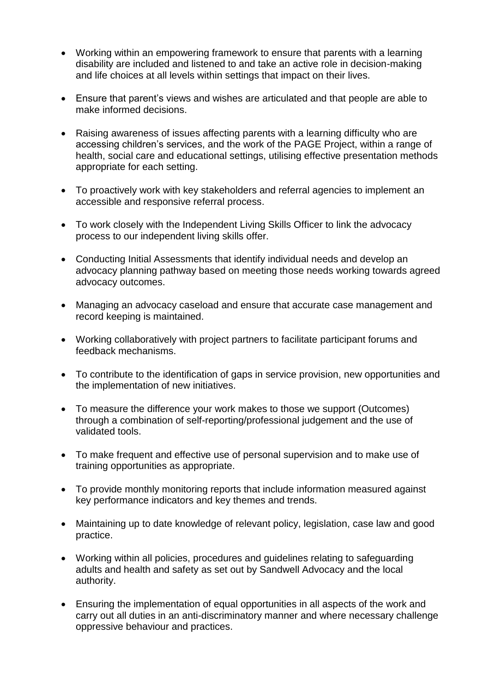- Working within an empowering framework to ensure that parents with a learning disability are included and listened to and take an active role in decision-making and life choices at all levels within settings that impact on their lives.
- Ensure that parent's views and wishes are articulated and that people are able to make informed decisions.
- Raising awareness of issues affecting parents with a learning difficulty who are accessing children's services, and the work of the PAGE Project, within a range of health, social care and educational settings, utilising effective presentation methods appropriate for each setting.
- To proactively work with key stakeholders and referral agencies to implement an accessible and responsive referral process.
- To work closely with the Independent Living Skills Officer to link the advocacy process to our independent living skills offer.
- Conducting Initial Assessments that identify individual needs and develop an advocacy planning pathway based on meeting those needs working towards agreed advocacy outcomes.
- Managing an advocacy caseload and ensure that accurate case management and record keeping is maintained.
- Working collaboratively with project partners to facilitate participant forums and feedback mechanisms.
- To contribute to the identification of gaps in service provision, new opportunities and the implementation of new initiatives.
- To measure the difference your work makes to those we support (Outcomes) through a combination of self-reporting/professional judgement and the use of validated tools.
- To make frequent and effective use of personal supervision and to make use of training opportunities as appropriate.
- To provide monthly monitoring reports that include information measured against key performance indicators and key themes and trends.
- Maintaining up to date knowledge of relevant policy, legislation, case law and good practice.
- Working within all policies, procedures and guidelines relating to safeguarding adults and health and safety as set out by Sandwell Advocacy and the local authority.
- Ensuring the implementation of equal opportunities in all aspects of the work and carry out all duties in an anti-discriminatory manner and where necessary challenge oppressive behaviour and practices.